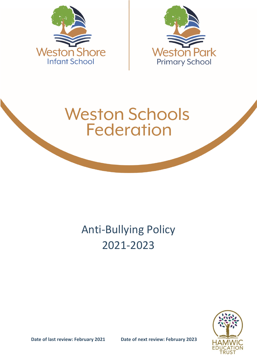



# **Weston Schools Federation**

# Anti-Bullying Policy 2021-2023

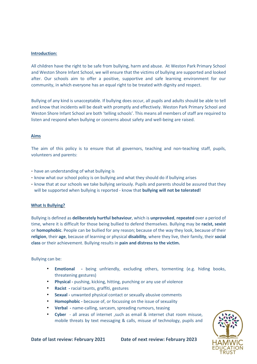### **Introduction:**

All children have the right to be safe from bullying, harm and abuse. At Weston Park Primary School and Weston Shore Infant School, we will ensure that the victims of bullying are supported and looked after. Our schools aim to offer a positive, supportive and safe learning environment for our community, in which everyone has an equal right to be treated with dignity and respect.

Bullying of any kind is unacceptable. If bullying does occur, all pupils and adults should be able to tell and know that incidents will be dealt with promptly and effectively. Weston Park Primary School and Weston Shore Infant School are both 'telling schools'. This means all members of staff are required to listen and respond when bullying or concerns about safety and well-being are raised.

#### **Aims**

The aim of this policy is to ensure that all governors, teaching and non-teaching staff, pupils, volunteers and parents:

- have an understanding of what bullying is
- know what our school policy is on bullying and what they should do if bullying arises
- know that at our schools we take bullying seriously. Pupils and parents should be assured that they will be supported when bullying is reported - know that **bullying will not be tolerated!**

#### **What Is Bullying?**

Bullying is defined as **deliberately hurtful behaviour**, which is **unprovoked**, **repeated** over a period of time, where it is difficult for those being bullied to defend themselves. Bullying may be **racist, sexist** or **homophobic**. People can be bullied for any reason; because of the way they look, because of their **religion**, their **age**, because of learning or physical **disability**, where they live, their family, their **social class** or their achievement. Bullying results in **pain and distress to the victim.**

#### Bullying can be:

- **Emotional -** being unfriendly, excluding others, tormenting (e.g. hiding books, threatening gestures)
- **Physical -** pushing, kicking, hitting, punching or any use of violence
- **Racist -** racial taunts, graffiti, gestures
- **Sexual -** unwanted physical contact or sexually abusive comments
- **Homophobic -** because of, or focussing on the issue of sexuality
- **Verbal -** name-calling, sarcasm, spreading rumours, teasing
- **Cyber** all areas of internet ,such as email & internet chat room misuse, mobile threats by text messaging & calls, misuse of technology, pupils and

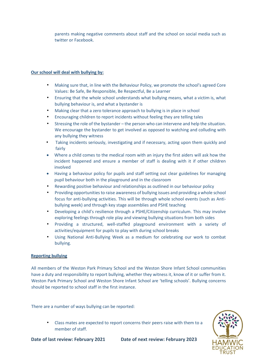parents making negative comments about staff and the school on social media such as twitter or Facebook.

# **Our school will deal with bullying by:**

- Making sure that, in line with the Behaviour Policy, we promote the school's agreed Core Values: Be Safe, Be Responsible, Be Respectful, Be a Learner
- Ensuring that the whole school understands what bullying means, what a victim is, what bullying behaviour is, and what a bystander is
- Making clear that a zero tolerance approach to bullying is in place in school
- Encouraging children to report incidents without feeling they are telling tales
- Stressing the role of the bystander the person who can intervene and help the situation. We encourage the bystander to get involved as opposed to watching and colluding with any bullying they witness
- Taking incidents seriously, investigating and if necessary, acting upon them quickly and fairly
- Where a child comes to the medical room with an injury the first aiders will ask how the incident happened and ensure a member of staff is dealing with it if other children involved
- Having a behaviour policy for pupils and staff setting out clear guidelines for managing pupil behaviour both in the playground and in the classroom
- Rewarding positive behaviour and relationships as outlined in our behaviour policy
- Providing opportunities to raise awareness of bullying issues and providing a whole school focus for anti-bullying activities. This will be through whole school events (such as Antibullying week) and through key stage assemblies and PSHE teaching
- Developing a child's resilience through a PSHE/Citizenship curriculum. This may involve exploring feelings through role play and viewing bullying situations from both sides
- Providing a structured, well-staffed playground environment with a variety of activities/equipment for pupils to play with during school breaks
- Using National Anti-Bullying Week as a medium for celebrating our work to combat bullying.

### **Reporting bullying**

All members of the Weston Park Primary School and the Weston Shore Infant School communities have a duty and responsibility to report bullying, whether they witness it, know of it or suffer from it. Weston Park Primary School and Weston Shore Infant School are 'telling schools'. Bullying concerns should be reported to school staff in the first instance.

There are a number of ways bullying can be reported:

• Class mates are expected to report concerns their peers raise with them to a member of staff.

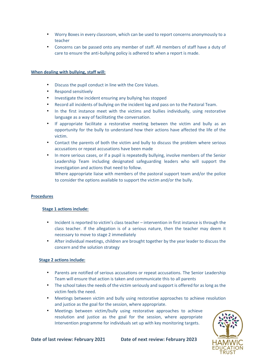- Worry Boxes in every classroom, which can be used to report concerns anonymously to a teacher
- Concerns can be passed onto any member of staff. All members of staff have a duty of care to ensure the anti-bullying policy is adhered to when a report is made.

## **When dealing with bullying, staff will:**

- Discuss the pupil conduct in line with the Core Values.
- Respond sensitively
- Investigate the incident ensuring any bullying has stopped
- Record all incidents of bullying on the incident log and pass on to the Pastoral Team.
- In the first instance meet with the victims and bullies individually, using restorative language as a way of facilitating the conversation.
- If appropriate facilitate a restorative meeting between the victim and bully as an opportunity for the bully to understand how their actions have affected the life of the victim.
- Contact the parents of both the victim and bully to discuss the problem where serious accusations or repeat accusations have been made
- In more serious cases, or if a pupil is repeatedly bullying, involve members of the Senior Leadership Team including designated safeguarding leaders who will support the investigation and actions that need to follow.

Where appropriate liaise with members of the pastoral support team and/or the police to consider the options available to support the victim and/or the bully.

# **Procedures**

### **Stage 1 actions include:**

- Incident is reported to victim's class teacher intervention in first instance is through the class teacher. If the allegation is of a serious nature, then the teacher may deem it necessary to move to stage 2 immediately
- After individual meetings, children are brought together by the year leader to discuss the concern and the solution strategy

### **Stage 2 actions include:**

- Parents are notified of serious accusations or repeat accusations. The Senior Leadership Team will ensure that action is taken and communicate this to all parents
- The school takes the needs of the victim seriously and support is offered for as long as the victim feels the need.
- Meetings between victim and bully using restorative approaches to achieve resolution and justice as the goal for the session, where appropriate.
- Meetings between victim/bully using restorative approaches to achieve resolution and justice as the goal for the session, where appropriate Intervention programme for individuals set up with key monitoring targets.

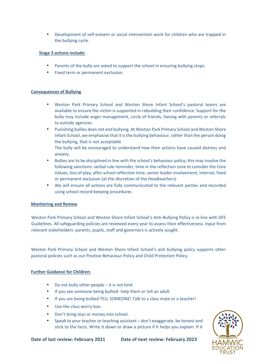• Development of self-esteem or social intervention work for children who are trapped in the bullying cycle.

# **Stage 3 actions include:**

- Parents of the bully are asked to support the school in ensuring bullying stops.
- Fixed term or permanent exclusion.

### **Consequences of Bullying**

- Weston Park Primary School and Weston Shore Infant School's pastoral teams are available to ensure the victim is supported in rebuilding their confidence. Support for the bully may include anger management, circle of friends, liaising with parents or referrals to outside agencies
- Punishing bullies does not end bullying. At Weston Park Primary School and Weston Shore Infant School, we emphasise that it is the bullying behaviour, rather than the person doing the bullying, that is not acceptable
	- The bully will be encouraged to understand how their actions have caused distress and anxiety.
- Bullies are to be disciplined in line with the school's behaviour policy; this may involve the following sanctions: verbal rule reminder, time in the reflection zone to consider the Core Values, loss of play, after school reflection time, senior leader involvement, internal, fixed or permanent exclusion (at the discretion of the Headteachers)
- We will ensure all actions are fully communicated to the relevant parties and recorded using school record-keeping procedures

### **Monitoring and Review**

Weston Park Primary School and Weston Shore Infant School's Anti-Bullying Policy is in-line with DFE Guidelines. All safeguarding policies are reviewed every year to assess their effectiveness. Input from relevant stakeholders: parents, pupils, staff and governors is actively sought.

Weston Park Primary School and Weston Shore Infant School's anti bullying policy supports other pastoral policies such as our Positive Behaviour Policy and Child Protection Policy.

### **Further Guidance for Children:**

- Do not bully other people it is not kind
- If you see someone being bullied- help them or tell an adult
- If you are being bullied TELL SOMEONE! Talk to a class mate or a teacher!
- Use the class worry box.
- Don't bring toys or money into school.
- Speak to your teacher or teaching assistant don't exaggerate, be honest and stick to the facts. Write it down or draw a picture if it helps you explain. If it

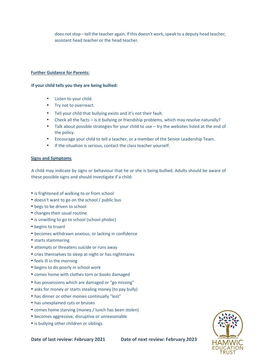does not stop – tell the teacher again. If this doesn't work, speak to a deputy head teacher, assistant head teacher or the head teacher.

#### **Further Guidance for Parents:**

#### **If your child tells you they are being bullied:**

- Listen to your child.
- Try not to overreact.
- Tell your child that bullying exists and it's not their fault.
- Check all the facts is it bullying or friendship problems, which may resolve naturally?
- Talk about possible strategies for your child to use try the websites listed at the end of the policy.
- Encourage your child to tell a teacher, or a member of the Senior Leadership Team.
- If the situation is serious, contact the class teacher yourself.

### **Signs and Symptoms**

A child may indicate by signs or behaviour that he or she is being bullied. Adults should be aware of these possible signs and should investigate if a child:

- is frightened of walking to or from school
- doesn't want to go on the school / public bus
- begs to be driven to school
- changes their usual routine
- is unwilling to go to school (school phobic)
- begins to truant
- becomes withdrawn anxious, or lacking in confidence
- starts stammering
- attempts or threatens suicide or runs away
- cries themselves to sleep at night or has nightmares
- feels ill in the morning
- begins to do poorly in school work
- comes home with clothes torn or books damaged
- has possessions which are damaged or "go missing"
- asks for money or starts stealing money (to pay bully)
- has dinner or other monies continually "lost"
- has unexplained cuts or bruises
- comes home starving (money / lunch has been stolen)
- becomes aggressive, disruptive or unreasonable
- is bullying other children or siblings

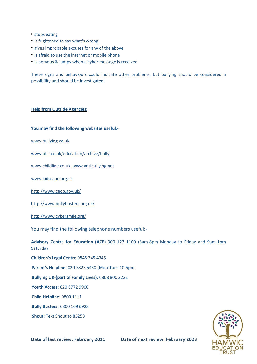- stops eating
- is frightened to say what's wrong
- gives improbable excuses for any of the above
- is afraid to use the internet or mobile phone
- is nervous & jumpy when a cyber message is received

These signs and behaviours could indicate other problems, but bullying should be considered a possibility and should be investigated.

#### **Help from Outside Agencies:**

#### **You may find the following websites useful:-**

[www.bullying.co.uk](http://www.bullying.co.uk/) 

[www.bbc.co.uk/education/archive/bully](http://www.bbc.co.uk/education/archive/bully) 

[www.childline.co.uk](http://www.childline.co.uk/) [www.antibullying.net](http://www.antibullying.net/) 

[www.kidscape.org.uk](http://www.kidscape.org.uk/)

<http://www.ceop.gov.uk/>

<http://www.bullybusters.org.uk/>

<http://www.cybersmile.org/>

You may find the following telephone numbers useful:-

**Advisory Centre for Education (ACE)** 300 123 1100 (8am-8pm Monday to Friday and 9am-1pm **Saturday** 

**Children's Legal Centre** 0845 345 4345

**Parent's Helpline**: 020 7823 5430 (Mon-Tues 10-5pm

**Bullying UK-(part of Family Lives):** 0808 800 2222

**Youth Access**: 020 8772 9900

**Child Helpline**: 0800 1111

**Bully Busters:** 0800 169 6928

**Shout**: Text Shout to 85258